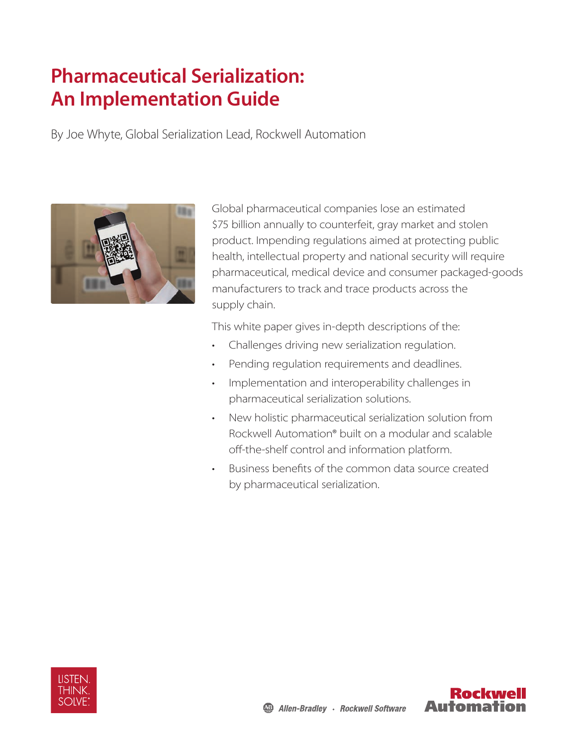# **Pharmaceutical Serialization: An Implementation Guide**

By Joe Whyte, Global Serialization Lead, Rockwell Automation



Global pharmaceutical companies lose an estimated \$75 billion annually to counterfeit, gray market and stolen product. Impending regulations aimed at protecting public health, intellectual property and national security will require pharmaceutical, medical device and consumer packaged-goods manufacturers to track and trace products across the supply chain.

This white paper gives in-depth descriptions of the:

- Challenges driving new serialization regulation.
- Pending regulation requirements and deadlines.
- Implementation and interoperability challenges in pharmaceutical serialization solutions.
- New holistic pharmaceutical serialization solution from Rockwell Automation® built on a modular and scalable off-the-shelf control and information platform.
- Business benefits of the common data source created by pharmaceutical serialization.



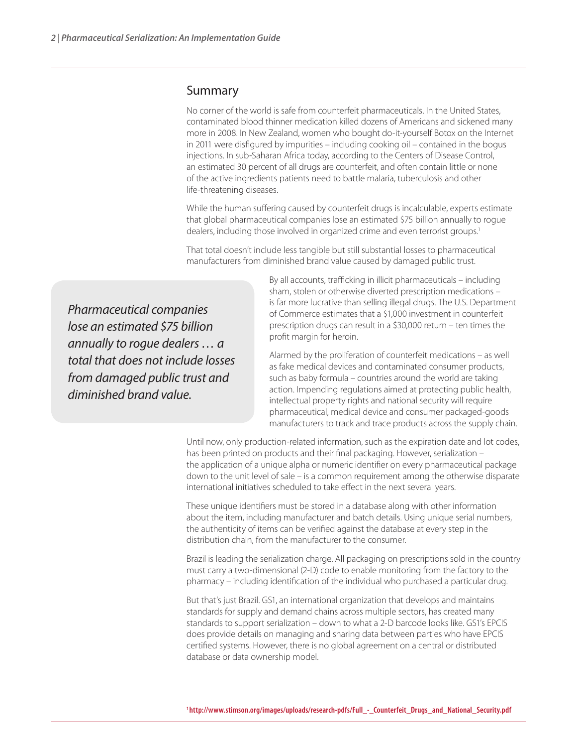#### Summary

No corner of the world is safe from counterfeit pharmaceuticals. In the United States, contaminated blood thinner medication killed dozens of Americans and sickened many more in 2008. In New Zealand, women who bought do-it-yourself Botox on the Internet in 2011 were disfigured by impurities – including cooking oil – contained in the bogus injections. In sub-Saharan Africa today, according to the Centers of Disease Control, an estimated 30 percent of all drugs are counterfeit, and often contain little or none of the active ingredients patients need to battle malaria, tuberculosis and other life-threatening diseases.

While the human suffering caused by counterfeit drugs is incalculable, experts estimate that global pharmaceutical companies lose an estimated \$75 billion annually to rogue dealers, including those involved in organized crime and even terrorist groups.<sup>1</sup>

That total doesn't include less tangible but still substantial losses to pharmaceutical manufacturers from diminished brand value caused by damaged public trust.

*Pharmaceutical companies lose an estimated \$75 billion annually to rogue dealers … a total that does not include losses from damaged public trust and diminished brand value.* 

By all accounts, trafficking in illicit pharmaceuticals – including sham, stolen or otherwise diverted prescription medications – is far more lucrative than selling illegal drugs. The U.S. Department of Commerce estimates that a \$1,000 investment in counterfeit prescription drugs can result in a \$30,000 return – ten times the profit margin for heroin.

Alarmed by the proliferation of counterfeit medications – as well as fake medical devices and contaminated consumer products, such as baby formula – countries around the world are taking action. Impending regulations aimed at protecting public health, intellectual property rights and national security will require pharmaceutical, medical device and consumer packaged-goods manufacturers to track and trace products across the supply chain.

Until now, only production-related information, such as the expiration date and lot codes, has been printed on products and their final packaging. However, serialization – the application of a unique alpha or numeric identifier on every pharmaceutical package down to the unit level of sale – is a common requirement among the otherwise disparate international initiatives scheduled to take effect in the next several years.

These unique identifiers must be stored in a database along with other information about the item, including manufacturer and batch details. Using unique serial numbers, the authenticity of items can be verified against the database at every step in the distribution chain, from the manufacturer to the consumer.

Brazil is leading the serialization charge. All packaging on prescriptions sold in the country must carry a two-dimensional (2-D) code to enable monitoring from the factory to the pharmacy – including identification of the individual who purchased a particular drug.

But that's just Brazil. GS1, an international organization that develops and maintains standards for supply and demand chains across multiple sectors, has created many standards to support serialization – down to what a 2-D barcode looks like. GS1's EPCIS does provide details on managing and sharing data between parties who have EPCIS certified systems. However, there is no global agreement on a central or distributed database or data ownership model.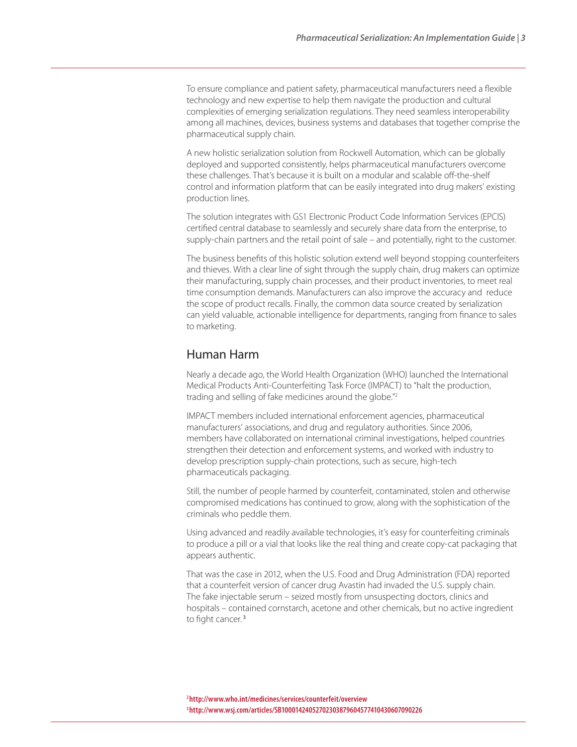To ensure compliance and patient safety, pharmaceutical manufacturers need a flexible technology and new expertise to help them navigate the production and cultural complexities of emerging serialization regulations. They need seamless interoperability among all machines, devices, business systems and databases that together comprise the pharmaceutical supply chain.

A new holistic serialization solution from Rockwell Automation, which can be globally deployed and supported consistently, helps pharmaceutical manufacturers overcome these challenges. That's because it is built on a modular and scalable off-the-shelf control and information platform that can be easily integrated into drug makers' existing production lines.

The solution integrates with GS1 Electronic Product Code Information Services (EPCIS) certified central database to seamlessly and securely share data from the enterprise, to supply-chain partners and the retail point of sale – and potentially, right to the customer.

The business benefits of this holistic solution extend well beyond stopping counterfeiters and thieves. With a clear line of sight through the supply chain, drug makers can optimize their manufacturing, supply chain processes, and their product inventories, to meet real time consumption demands. Manufacturers can also improve the accuracy and reduce the scope of product recalls. Finally, the common data source created by serialization can yield valuable, actionable intelligence for departments, ranging from finance to sales to marketing.

#### Human Harm

Nearly a decade ago, the World Health Organization (WHO) launched the International Medical Products Anti-Counterfeiting Task Force (IMPACT) to "halt the production, trading and selling of fake medicines around the globe."2

IMPACT members included international enforcement agencies, pharmaceutical manufacturers' associations, and drug and regulatory authorities. Since 2006, members have collaborated on international criminal investigations, helped countries strengthen their detection and enforcement systems, and worked with industry to develop prescription supply-chain protections, such as secure, high-tech pharmaceuticals packaging.

Still, the number of people harmed by counterfeit, contaminated, stolen and otherwise compromised medications has continued to grow, along with the sophistication of the criminals who peddle them.

Using advanced and readily available technologies, it's easy for counterfeiting criminals to produce a pill or a vial that looks like the real thing and create copy-cat packaging that appears authentic.

That was the case in 2012, when the U.S. Food and Drug Administration (FDA) reported that a counterfeit version of cancer drug Avastin had invaded the U.S. supply chain. The fake injectable serum – seized mostly from unsuspecting doctors, clinics and hospitals – contained cornstarch, acetone and other chemicals, but no active ingredient to fight cancer.<sup>3</sup>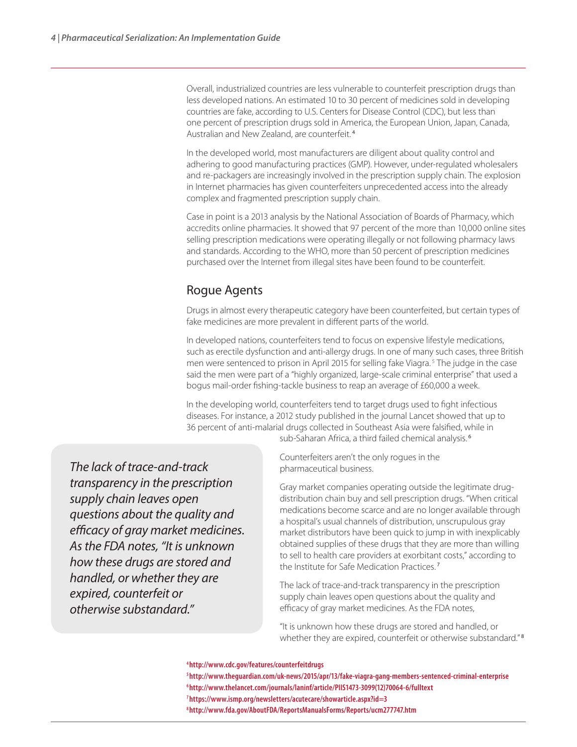Overall, industrialized countries are less vulnerable to counterfeit prescription drugs than less developed nations. An estimated 10 to 30 percent of medicines sold in developing countries are fake, according to U.S. Centers for Disease Control (CDC), but less than one percent of prescription drugs sold in America, the European Union, Japan, Canada, Australian and New Zealand, are counterfeit.<sup>4</sup>

In the developed world, most manufacturers are diligent about quality control and adhering to good manufacturing practices (GMP). However, under-regulated wholesalers and re-packagers are increasingly involved in the prescription supply chain. The explosion in Internet pharmacies has given counterfeiters unprecedented access into the already complex and fragmented prescription supply chain.

Case in point is a 2013 analysis by the National Association of Boards of Pharmacy, which accredits online pharmacies. It showed that 97 percent of the more than 10,000 online sites selling prescription medications were operating illegally or not following pharmacy laws and standards. According to the WHO, more than 50 percent of prescription medicines purchased over the Internet from illegal sites have been found to be counterfeit.

# Rogue Agents

Drugs in almost every therapeutic category have been counterfeited, but certain types of fake medicines are more prevalent in different parts of the world.

In developed nations, counterfeiters tend to focus on expensive lifestyle medications, such as erectile dysfunction and anti-allergy drugs. In one of many such cases, three British men were sentenced to prison in April 2015 for selling fake Viagra.<sup>5</sup> The judge in the case said the men were part of a "highly organized, large-scale criminal enterprise" that used a bogus mail-order fishing-tackle business to reap an average of £60,000 a week.

In the developing world, counterfeiters tend to target drugs used to fight infectious diseases. For instance, a 2012 study published in the journal Lancet showed that up to 36 percent of anti-malarial drugs collected in Southeast Asia were falsified, while in sub-Saharan Africa, a third failed chemical analysis.<sup>6</sup>

*The lack of trace-and-track transparency in the prescription supply chain leaves open questions about the quality and efficacy of gray market medicines. As the FDA notes, "It is unknown how these drugs are stored and handled, or whether they are expired, counterfeit or otherwise substandard."*

Counterfeiters aren't the only rogues in the pharmaceutical business.

Gray market companies operating outside the legitimate drugdistribution chain buy and sell prescription drugs. "When critical medications become scarce and are no longer available through a hospital's usual channels of distribution, unscrupulous gray market distributors have been quick to jump in with inexplicably obtained supplies of these drugs that they are more than willing to sell to health care providers at exorbitant costs," according to the Institute for Safe Medication Practices.<sup>7</sup>

The lack of trace-and-track transparency in the prescription supply chain leaves open questions about the quality and efficacy of gray market medicines. As the FDA notes,

"It is unknown how these drugs are stored and handled, or whether they are expired, counterfeit or otherwise substandard."<sup>8</sup>

#### **4 http://www.cdc.gov/features/counterfeitdrugs**

**5 http://www.theguardian.com/uk-news/2015/apr/13/fake-viagra-gang-members-sentenced-criminal-enterprise 6 http://www.thelancet.com/journals/laninf/article/PIIS1473-3099(12)70064-6/fulltext 7 https://www.ismp.org/newsletters/acutecare/showarticle.aspx?id=3**

**8 http://www.fda.gov/AboutFDA/ReportsManualsForms/Reports/ucm277747.htm**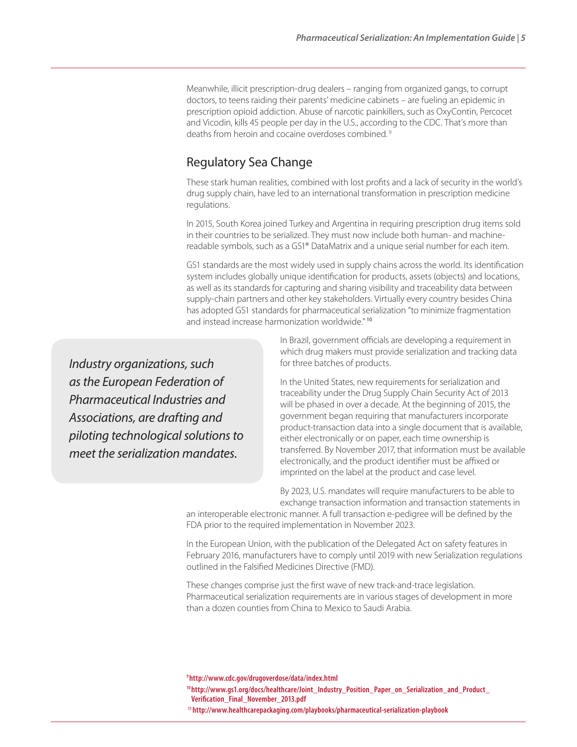Meanwhile, illicit prescription-drug dealers – ranging from organized gangs, to corrupt doctors, to teens raiding their parents' medicine cabinets – are fueling an epidemic in prescription opioid addiction. Abuse of narcotic painkillers, such as OxyContin, Percocet and Vicodin, kills 45 people per day in the U.S., according to the CDC. That's more than deaths from heroin and cocaine overdoses combined. 9

#### Regulatory Sea Change

These stark human realities, combined with lost profits and a lack of security in the world's drug supply chain, have led to an international transformation in prescription medicine regulations.

In 2015, South Korea joined Turkey and Argentina in requiring prescription drug items sold in their countries to be serialized. They must now include both human- and machinereadable symbols, such as a GS1® DataMatrix and a unique serial number for each item.

GS1 standards are the most widely used in supply chains across the world. Its identification system includes globally unique identification for products, assets (objects) and locations, as well as its standards for capturing and sharing visibility and traceability data between supply-chain partners and other key stakeholders. Virtually every country besides China has adopted GS1 standards for pharmaceutical serialization "to minimize fragmentation and instead increase harmonization worldwide."<sup>10</sup>

*Industry organizations, such as the European Federation of Pharmaceutical Industries and Associations, are drafting and piloting technological solutions to meet the serialization mandates.*

In Brazil, government officials are developing a requirement in which drug makers must provide serialization and tracking data for three batches of products.

In the United States, new requirements for serialization and traceability under the Drug Supply Chain Security Act of 2013 will be phased in over a decade. At the beginning of 2015, the government began requiring that manufacturers incorporate product-transaction data into a single document that is available, either electronically or on paper, each time ownership is transferred. By November 2017, that information must be available electronically, and the product identifier must be affixed or imprinted on the label at the product and case level.

By 2023, U.S. mandates will require manufacturers to be able to exchange transaction information and transaction statements in

an interoperable electronic manner. A full transaction e-pedigree will be defined by the FDA prior to the required implementation in November 2023.

In the European Union, with the publication of the Delegated Act on safety features in February 2016, manufacturers have to comply until 2019 with new Serialization regulations outlined in the Falsified Medicines Directive (FMD).

These changes comprise just the first wave of new track-and-trace legislation. Pharmaceutical serialization requirements are in various stages of development in more than a dozen counties from China to Mexico to Saudi Arabia.

**9 http://www.cdc.gov/drugoverdose/data/index.html**

**10 http://www.gs1.org/docs/healthcare/Joint\_Industry\_Position\_Paper\_on\_Serialization\_and\_Product\_ Verification\_Final\_November\_2013.pdf**

**11 http://www.healthcarepackaging.com/playbooks/pharmaceutical-serialization-playbook**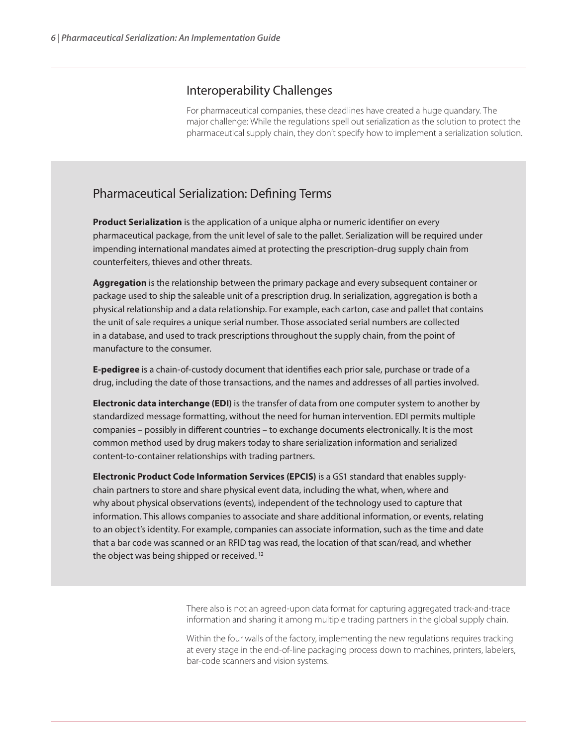#### Interoperability Challenges

For pharmaceutical companies, these deadlines have created a huge quandary. The major challenge: While the regulations spell out serialization as the solution to protect the pharmaceutical supply chain, they don't specify how to implement a serialization solution.

# Pharmaceutical Serialization: Defining Terms

**Product Serialization** is the application of a unique alpha or numeric identifier on every pharmaceutical package, from the unit level of sale to the pallet. Serialization will be required under impending international mandates aimed at protecting the prescription-drug supply chain from counterfeiters, thieves and other threats.

**Aggregation** is the relationship between the primary package and every subsequent container or package used to ship the saleable unit of a prescription drug. In serialization, aggregation is both a physical relationship and a data relationship. For example, each carton, case and pallet that contains the unit of sale requires a unique serial number. Those associated serial numbers are collected in a database, and used to track prescriptions throughout the supply chain, from the point of manufacture to the consumer.

**E-pedigree** is a chain-of-custody document that identifies each prior sale, purchase or trade of a drug, including the date of those transactions, and the names and addresses of all parties involved.

**Electronic data interchange (EDI)** is the transfer of data from one computer system to another by standardized message formatting, without the need for human intervention. EDI permits multiple companies – possibly in different countries – to exchange documents electronically. It is the most common method used by drug makers today to share serialization information and serialized content-to-container relationships with trading partners.

**Electronic Product Code Information Services (EPCIS)** is a GS1 standard that enables supplychain partners to store and share physical event data, including the what, when, where and why about physical observations (events), independent of the technology used to capture that information. This allows companies to associate and share additional information, or events, relating to an object's identity. For example, companies can associate information, such as the time and date that a bar code was scanned or an RFID tag was read, the location of that scan/read, and whether the object was being shipped or received.<sup>12</sup>

> There also is not an agreed-upon data format for capturing aggregated track-and-trace information and sharing it among multiple trading partners in the global supply chain.

Within the four walls of the factory, implementing the new regulations requires tracking at every stage in the end-of-line packaging process down to machines, printers, labelers, bar-code scanners and vision systems.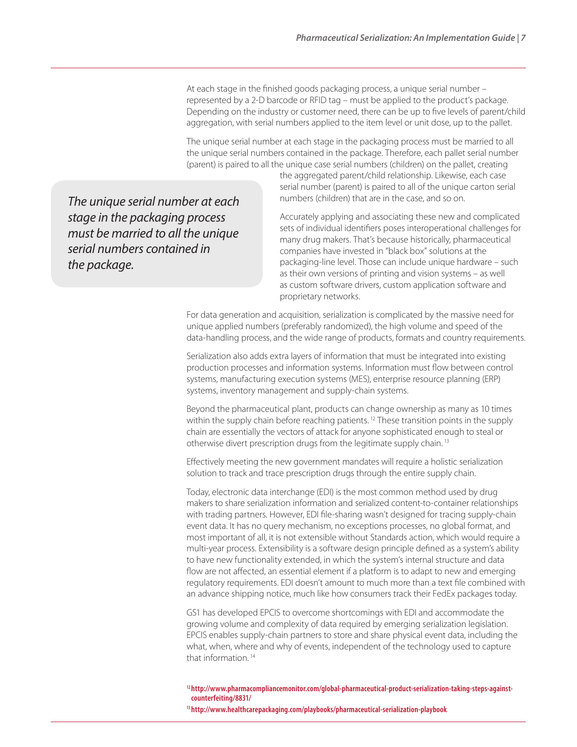At each stage in the finished goods packaging process, a unique serial number – represented by a 2-D barcode or RFID tag – must be applied to the product's package. Depending on the industry or customer need, there can be up to five levels of parent/child aggregation, with serial numbers applied to the item level or unit dose, up to the pallet.

The unique serial number at each stage in the packaging process must be married to all the unique serial numbers contained in the package. Therefore, each pallet serial number (parent) is paired to all the unique case serial numbers (children) on the pallet, creating

*The unique serial number at each stage in the packaging process must be married to all the unique serial numbers contained in the package.*

the aggregated parent/child relationship. Likewise, each case serial number (parent) is paired to all of the unique carton serial numbers (children) that are in the case, and so on.

Accurately applying and associating these new and complicated sets of individual identifiers poses interoperational challenges for many drug makers. That's because historically, pharmaceutical companies have invested in "black box" solutions at the packaging-line level. Those can include unique hardware – such as their own versions of printing and vision systems – as well as custom software drivers, custom application software and proprietary networks.

For data generation and acquisition, serialization is complicated by the massive need for unique applied numbers (preferably randomized), the high volume and speed of the data-handling process, and the wide range of products, formats and country requirements.

Serialization also adds extra layers of information that must be integrated into existing production processes and information systems. Information must flow between control systems, manufacturing execution systems (MES), enterprise resource planning (ERP) systems, inventory management and supply-chain systems.

Beyond the pharmaceutical plant, products can change ownership as many as 10 times within the supply chain before reaching patients.<sup>12</sup> These transition points in the supply chain are essentially the vectors of attack for anyone sophisticated enough to steal or otherwise divert prescription drugs from the legitimate supply chain. 13

Effectively meeting the new government mandates will require a holistic serialization solution to track and trace prescription drugs through the entire supply chain.

Today, electronic data interchange (EDI) is the most common method used by drug makers to share serialization information and serialized content-to-container relationships with trading partners. However, EDI file-sharing wasn't designed for tracing supply-chain event data. It has no query mechanism, no exceptions processes, no global format, and most important of all, it is not extensible without Standards action, which would require a multi-year process. Extensibility is a software design principle defined as a system's ability to have new functionality extended, in which the system's internal structure and data flow are not affected, an essential element if a platform is to adapt to new and emerging regulatory requirements. EDI doesn't amount to much more than a text file combined with an advance shipping notice, much like how consumers track their FedEx packages today.

GS1 has developed EPCIS to overcome shortcomings with EDI and accommodate the growing volume and complexity of data required by emerging serialization legislation. EPCIS enables supply-chain partners to store and share physical event data, including the what, when, where and why of events, independent of the technology used to capture that information. 14

**12 http://www.pharmacompliancemonitor.com/global-pharmaceutical-product-serialization-taking-steps-againstcounterfeiting/8831/**

**13 http://www.healthcarepackaging.com/playbooks/pharmaceutical-serialization-playbook**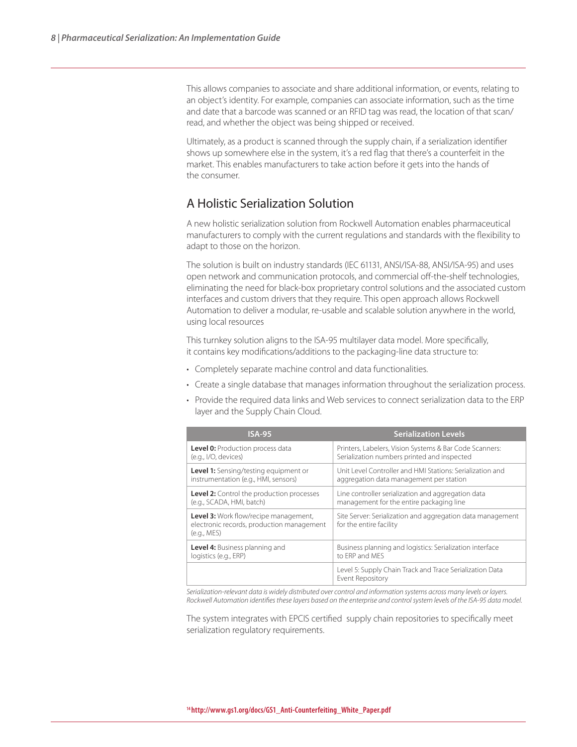This allows companies to associate and share additional information, or events, relating to an object's identity. For example, companies can associate information, such as the time and date that a barcode was scanned or an RFID tag was read, the location of that scan/ read, and whether the object was being shipped or received.

Ultimately, as a product is scanned through the supply chain, if a serialization identifier shows up somewhere else in the system, it's a red flag that there's a counterfeit in the market. This enables manufacturers to take action before it gets into the hands of the consumer.

### A Holistic Serialization Solution

A new holistic serialization solution from Rockwell Automation enables pharmaceutical manufacturers to comply with the current regulations and standards with the flexibility to adapt to those on the horizon.

The solution is built on industry standards (IEC 61131, ANSI/ISA-88, ANSI/ISA-95) and uses open network and communication protocols, and commercial off-the-shelf technologies, eliminating the need for black-box proprietary control solutions and the associated custom interfaces and custom drivers that they require. This open approach allows Rockwell Automation to deliver a modular, re-usable and scalable solution anywhere in the world, using local resources

This turnkey solution aligns to the ISA-95 multilayer data model. More specifically, it contains key modifications/additions to the packaging-line data structure to:

- Completely separate machine control and data functionalities.
- Create a single database that manages information throughout the serialization process.
- Provide the required data links and Web services to connect serialization data to the ERP layer and the Supply Chain Cloud.

| <b>ISA-95</b>                                                                                     | <b>Serialization Levels</b>                                                           |
|---------------------------------------------------------------------------------------------------|---------------------------------------------------------------------------------------|
| Level 0: Production process data                                                                  | Printers, Labelers, Vision Systems & Bar Code Scanners:                               |
| (e.g., I/O, devices)                                                                              | Serialization numbers printed and inspected                                           |
| Level 1: Sensing/testing equipment or                                                             | Unit Level Controller and HMI Stations: Serialization and                             |
| instrumentation (e.g., HMI, sensors)                                                              | aggregation data management per station                                               |
| <b>Level 2:</b> Control the production processes                                                  | Line controller serialization and aggregation data                                    |
| (e.g., SCADA, HMI, batch)                                                                         | management for the entire packaging line                                              |
| Level 3: Work flow/recipe management,<br>electronic records, production management<br>(e.q., MES) | Site Server: Serialization and aggregation data management<br>for the entire facility |
| Level 4: Business planning and                                                                    | Business planning and logistics: Serialization interface                              |
| logistics (e.g., ERP)                                                                             | to FRP and MFS                                                                        |
|                                                                                                   | Level 5: Supply Chain Track and Trace Serialization Data<br>Event Repository          |

*Serialization-relevant data is widely distributed over control and information systems across many levels or layers. Rockwell Automation identifies these layers based on the enterprise and control system levels of the ISA-95 data model.* 

The system integrates with EPCIS certified supply chain repositories to specifically meet serialization regulatory requirements.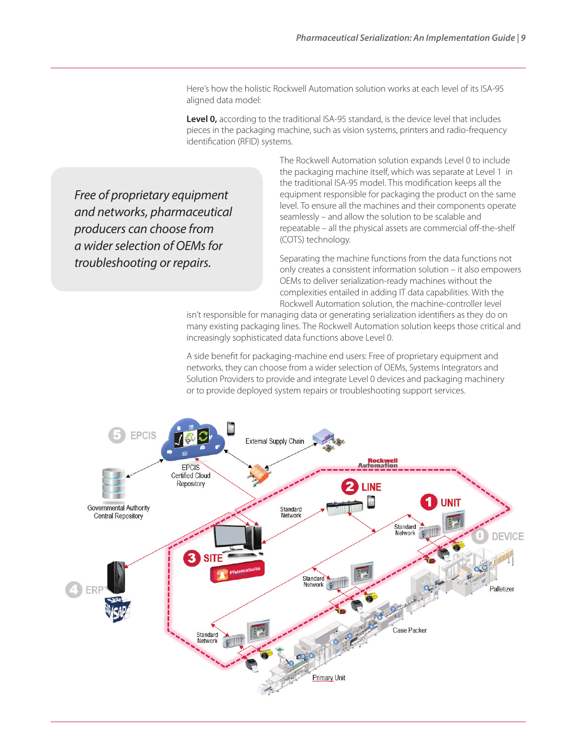Here's how the holistic Rockwell Automation solution works at each level of its ISA-95 aligned data model:

**Level 0,** according to the traditional ISA-95 standard, is the device level that includes pieces in the packaging machine, such as vision systems, printers and radio-frequency identification (RFID) systems.

*Free of proprietary equipment and networks, pharmaceutical producers can choose from a wider selection of OEMs for troubleshooting or repairs.* 

The Rockwell Automation solution expands Level 0 to include the packaging machine itself, which was separate at Level 1 in the traditional ISA-95 model. This modification keeps all the equipment responsible for packaging the product on the same level. To ensure all the machines and their components operate seamlessly – and allow the solution to be scalable and repeatable – all the physical assets are commercial off-the-shelf (COTS) technology.

Separating the machine functions from the data functions not only creates a consistent information solution – it also empowers OEMs to deliver serialization-ready machines without the complexities entailed in adding IT data capabilities. With the Rockwell Automation solution, the machine-controller level

isn't responsible for managing data or generating serialization identifiers as they do on many existing packaging lines. The Rockwell Automation solution keeps those critical and increasingly sophisticated data functions above Level 0.

A side benefit for packaging-machine end users: Free of proprietary equipment and networks, they can choose from a wider selection of OEMs, Systems Integrators and Solution Providers to provide and integrate Level 0 devices and packaging machinery or to provide deployed system repairs or troubleshooting support services.

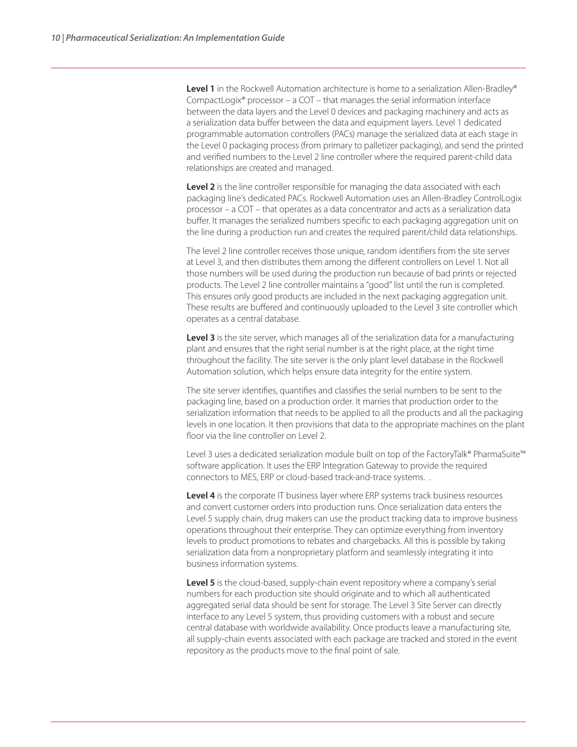Level 1 in the Rockwell Automation architecture is home to a serialization Allen-Bradley® CompactLogix® processor – a COT – that manages the serial information interface between the data layers and the Level 0 devices and packaging machinery and acts as a serialization data buffer between the data and equipment layers. Level 1 dedicated programmable automation controllers (PACs) manage the serialized data at each stage in the Level 0 packaging process (from primary to palletizer packaging), and send the printed and verified numbers to the Level 2 line controller where the required parent-child data relationships are created and managed.

Level 2 is the line controller responsible for managing the data associated with each packaging line's dedicated PACs. Rockwell Automation uses an Allen-Bradley ControlLogix processor – a COT – that operates as a data concentrator and acts as a serialization data buffer. It manages the serialized numbers specific to each packaging aggregation unit on the line during a production run and creates the required parent/child data relationships.

The level 2 line controller receives those unique, random identifiers from the site server at Level 3, and then distributes them among the different controllers on Level 1. Not all those numbers will be used during the production run because of bad prints or rejected products. The Level 2 line controller maintains a "good" list until the run is completed. This ensures only good products are included in the next packaging aggregation unit. These results are buffered and continuously uploaded to the Level 3 site controller which operates as a central database.

Level 3 is the site server, which manages all of the serialization data for a manufacturing plant and ensures that the right serial number is at the right place, at the right time throughout the facility. The site server is the only plant level database in the Rockwell Automation solution, which helps ensure data integrity for the entire system.

The site server identifies, quantifies and classifies the serial numbers to be sent to the packaging line, based on a production order. It marries that production order to the serialization information that needs to be applied to all the products and all the packaging levels in one location. It then provisions that data to the appropriate machines on the plant floor via the line controller on Level 2.

Level 3 uses a dedicated serialization module built on top of the FactoryTalk® PharmaSuite™ software application. It uses the ERP Integration Gateway to provide the required connectors to MES, ERP or cloud-based track-and-trace systems. .

**Level 4** is the corporate IT business layer where ERP systems track business resources and convert customer orders into production runs. Once serialization data enters the Level 5 supply chain, drug makers can use the product tracking data to improve business operations throughout their enterprise. They can optimize everything from inventory levels to product promotions to rebates and chargebacks. All this is possible by taking serialization data from a nonproprietary platform and seamlessly integrating it into business information systems.

**Level 5** is the cloud-based, supply-chain event repository where a company's serial numbers for each production site should originate and to which all authenticated aggregated serial data should be sent for storage. The Level 3 Site Server can directly interface to any Level 5 system, thus providing customers with a robust and secure central database with worldwide availability. Once products leave a manufacturing site, all supply-chain events associated with each package are tracked and stored in the event repository as the products move to the final point of sale.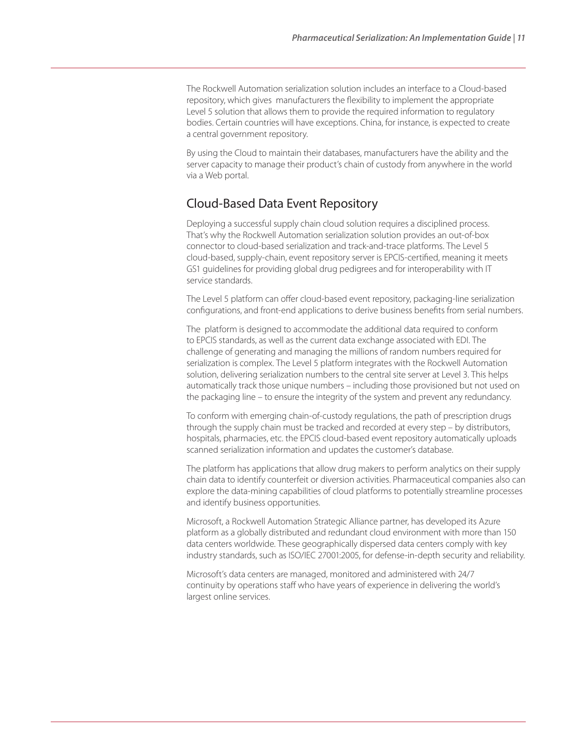The Rockwell Automation serialization solution includes an interface to a Cloud-based repository, which gives manufacturers the flexibility to implement the appropriate Level 5 solution that allows them to provide the required information to regulatory bodies. Certain countries will have exceptions. China, for instance, is expected to create a central government repository.

By using the Cloud to maintain their databases, manufacturers have the ability and the server capacity to manage their product's chain of custody from anywhere in the world via a Web portal.

### Cloud-Based Data Event Repository

Deploying a successful supply chain cloud solution requires a disciplined process. That's why the Rockwell Automation serialization solution provides an out-of-box connector to cloud-based serialization and track-and-trace platforms. The Level 5 cloud-based, supply-chain, event repository server is EPCIS-certified, meaning it meets GS1 guidelines for providing global drug pedigrees and for interoperability with IT service standards.

The Level 5 platform can offer cloud-based event repository, packaging-line serialization configurations, and front-end applications to derive business benefits from serial numbers.

The platform is designed to accommodate the additional data required to conform to EPCIS standards, as well as the current data exchange associated with EDI. The challenge of generating and managing the millions of random numbers required for serialization is complex. The Level 5 platform integrates with the Rockwell Automation solution, delivering serialization numbers to the central site server at Level 3. This helps automatically track those unique numbers – including those provisioned but not used on the packaging line – to ensure the integrity of the system and prevent any redundancy.

To conform with emerging chain-of-custody regulations, the path of prescription drugs through the supply chain must be tracked and recorded at every step – by distributors, hospitals, pharmacies, etc. the EPCIS cloud-based event repository automatically uploads scanned serialization information and updates the customer's database.

The platform has applications that allow drug makers to perform analytics on their supply chain data to identify counterfeit or diversion activities. Pharmaceutical companies also can explore the data-mining capabilities of cloud platforms to potentially streamline processes and identify business opportunities.

Microsoft, a Rockwell Automation Strategic Alliance partner, has developed its Azure platform as a globally distributed and redundant cloud environment with more than 150 data centers worldwide. These geographically dispersed data centers comply with key industry standards, such as ISO/IEC 27001:2005, for defense-in-depth security and reliability.

Microsoft's data centers are managed, monitored and administered with 24/7 continuity by operations staff who have years of experience in delivering the world's largest online services.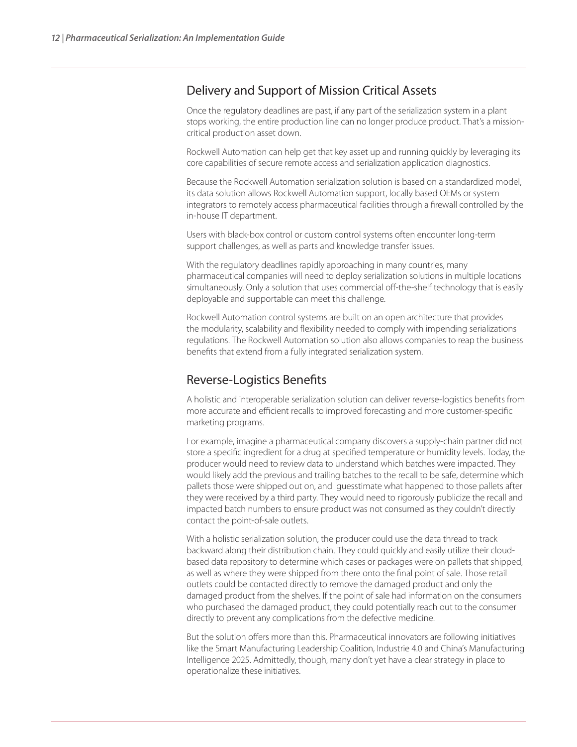#### Delivery and Support of Mission Critical Assets

Once the regulatory deadlines are past, if any part of the serialization system in a plant stops working, the entire production line can no longer produce product. That's a missioncritical production asset down.

Rockwell Automation can help get that key asset up and running quickly by leveraging its core capabilities of secure remote access and serialization application diagnostics.

Because the Rockwell Automation serialization solution is based on a standardized model, its data solution allows Rockwell Automation support, locally based OEMs or system integrators to remotely access pharmaceutical facilities through a firewall controlled by the in-house IT department.

Users with black-box control or custom control systems often encounter long-term support challenges, as well as parts and knowledge transfer issues.

With the regulatory deadlines rapidly approaching in many countries, many pharmaceutical companies will need to deploy serialization solutions in multiple locations simultaneously. Only a solution that uses commercial off-the-shelf technology that is easily deployable and supportable can meet this challenge.

Rockwell Automation control systems are built on an open architecture that provides the modularity, scalability and flexibility needed to comply with impending serializations regulations. The Rockwell Automation solution also allows companies to reap the business benefits that extend from a fully integrated serialization system.

## Reverse-Logistics Benefits

A holistic and interoperable serialization solution can deliver reverse-logistics benefits from more accurate and efficient recalls to improved forecasting and more customer-specific marketing programs.

For example, imagine a pharmaceutical company discovers a supply-chain partner did not store a specific ingredient for a drug at specified temperature or humidity levels. Today, the producer would need to review data to understand which batches were impacted. They would likely add the previous and trailing batches to the recall to be safe, determine which pallets those were shipped out on, and guesstimate what happened to those pallets after they were received by a third party. They would need to rigorously publicize the recall and impacted batch numbers to ensure product was not consumed as they couldn't directly contact the point-of-sale outlets.

With a holistic serialization solution, the producer could use the data thread to track backward along their distribution chain. They could quickly and easily utilize their cloudbased data repository to determine which cases or packages were on pallets that shipped, as well as where they were shipped from there onto the final point of sale. Those retail outlets could be contacted directly to remove the damaged product and only the damaged product from the shelves. If the point of sale had information on the consumers who purchased the damaged product, they could potentially reach out to the consumer directly to prevent any complications from the defective medicine.

But the solution offers more than this. Pharmaceutical innovators are following initiatives like the Smart Manufacturing Leadership Coalition, Industrie 4.0 and China's Manufacturing Intelligence 2025. Admittedly, though, many don't yet have a clear strategy in place to operationalize these initiatives.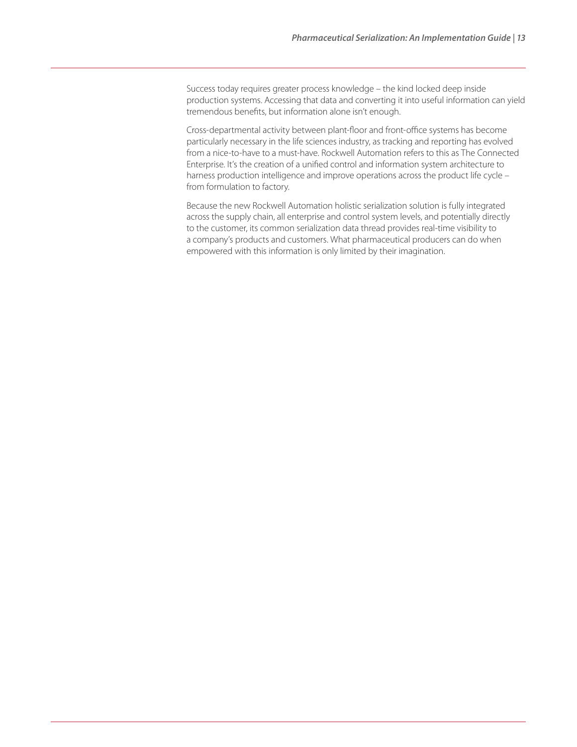Success today requires greater process knowledge – the kind locked deep inside production systems. Accessing that data and converting it into useful information can yield tremendous benefits, but information alone isn't enough.

Cross-departmental activity between plant-floor and front-office systems has become particularly necessary in the life sciences industry, as tracking and reporting has evolved from a nice-to-have to a must-have. Rockwell Automation refers to this as The Connected Enterprise. It's the creation of a unified control and information system architecture to harness production intelligence and improve operations across the product life cycle – from formulation to factory.

Because the new Rockwell Automation holistic serialization solution is fully integrated across the supply chain, all enterprise and control system levels, and potentially directly to the customer, its common serialization data thread provides real-time visibility to a company's products and customers. What pharmaceutical producers can do when empowered with this information is only limited by their imagination.